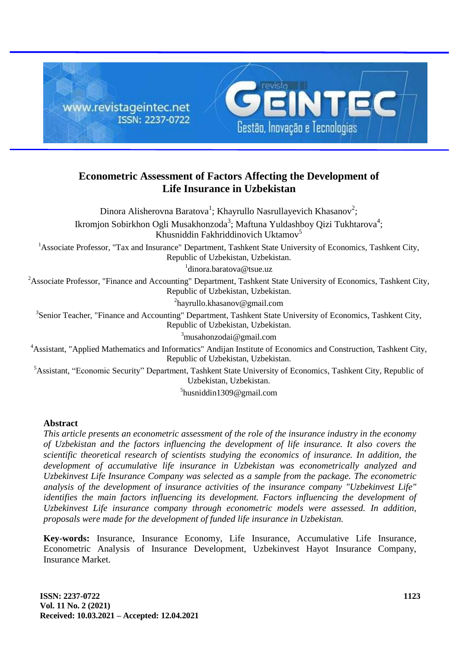

# **Econometric Assessment of Factors Affecting the Development of Life Insurance in Uzbekistan**

Dinora Alisherovna Baratova<sup>1</sup>; Khayrullo Nasrullayevich Khasanov<sup>2</sup>; Ikromjon Sobirkhon Ogli Musakhonzoda<sup>3</sup>; Maftuna Yuldashboy Qizi Tukhtarova<sup>4</sup>; Khusniddin Fakhriddinovich Uktamov<sup>5</sup> <sup>1</sup>Associate Professor, "Tax and Insurance" Department, Tashkent State University of Economics, Tashkent City, Republic of Uzbekistan, Uzbekistan. 1 dinora.baratova@tsue.uz <sup>2</sup>Associate Professor, "Finance and Accounting" Department, Tashkent State University of Economics, Tashkent City, Republic of Uzbekistan, Uzbekistan. <sup>2</sup>hayrullo.khasanov@gmail.com <sup>3</sup>Senior Teacher, "Finance and Accounting" Department, Tashkent State University of Economics, Tashkent City, Republic of Uzbekistan, Uzbekistan.  $3$ musahonzodai@gmail.com <sup>4</sup>Assistant, "Applied Mathematics and Informatics" Andijan Institute of Economics and Construction, Tashkent City, Republic of Uzbekistan, Uzbekistan. <sup>5</sup>Assistant, "Economic Security" Department, Tashkent State University of Economics, Tashkent City, Republic of Uzbekistan, Uzbekistan.

5 husniddin1309@gmail.com

#### **Abstract**

*This article presents an econometric assessment of the role of the insurance industry in the economy of Uzbekistan and the factors influencing the development of life insurance. It also covers the scientific theoretical research of scientists studying the economics of insurance. In addition, the development of accumulative life insurance in Uzbekistan was econometrically analyzed and Uzbekinvest Life Insurance Company was selected as a sample from the package. The econometric analysis of the development of insurance activities of the insurance company "Uzbekinvest Life" identifies the main factors influencing its development. Factors influencing the development of Uzbekinvest Life insurance company through econometric models were assessed. In addition, proposals were made for the development of funded life insurance in Uzbekistan.*

**Key-words:** Insurance, Insurance Economy, Life Insurance, Accumulative Life Insurance, Econometric Analysis of Insurance Development, Uzbekinvest Hayot Insurance Company, Insurance Market.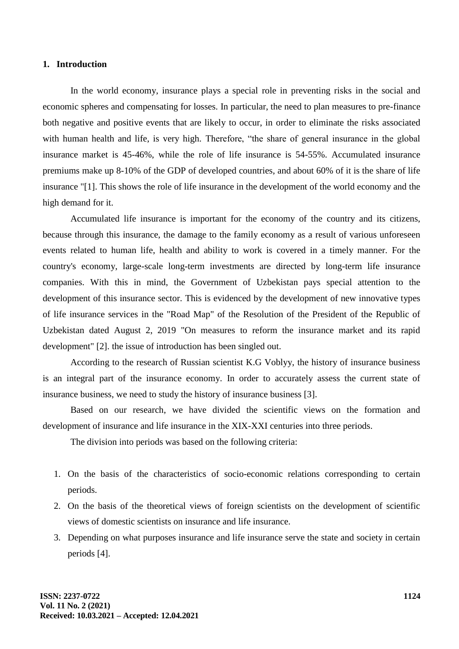#### **1. Introduction**

In the world economy, insurance plays a special role in preventing risks in the social and economic spheres and compensating for losses. In particular, the need to plan measures to pre-finance both negative and positive events that are likely to occur, in order to eliminate the risks associated with human health and life, is very high. Therefore, "the share of general insurance in the global insurance market is 45-46%, while the role of life insurance is 54-55%. Accumulated insurance premiums make up 8-10% of the GDP of developed countries, and about 60% of it is the share of life insurance "[1]. This shows the role of life insurance in the development of the world economy and the high demand for it.

Accumulated life insurance is important for the economy of the country and its citizens, because through this insurance, the damage to the family economy as a result of various unforeseen events related to human life, health and ability to work is covered in a timely manner. For the country's economy, large-scale long-term investments are directed by long-term life insurance companies. With this in mind, the Government of Uzbekistan pays special attention to the development of this insurance sector. This is evidenced by the development of new innovative types of life insurance services in the "Road Map" of the Resolution of the President of the Republic of Uzbekistan dated August 2, 2019 "On measures to reform the insurance market and its rapid development" [2]. the issue of introduction has been singled out.

According to the research of Russian scientist K.G Voblyy, the history of insurance business is an integral part of the insurance economy. In order to accurately assess the current state of insurance business, we need to study the history of insurance business [3].

Based on our research, we have divided the scientific views on the formation and development of insurance and life insurance in the XIX-XXI centuries into three periods.

The division into periods was based on the following criteria:

- 1. On the basis of the characteristics of socio-economic relations corresponding to certain periods.
- 2. On the basis of the theoretical views of foreign scientists on the development of scientific views of domestic scientists on insurance and life insurance.
- 3. Depending on what purposes insurance and life insurance serve the state and society in certain periods [4].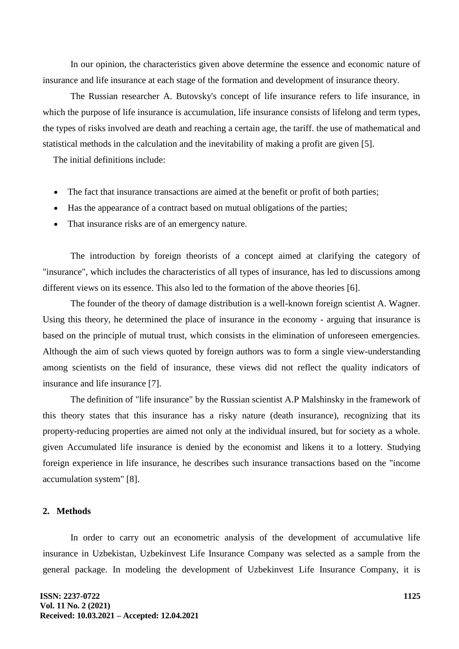In our opinion, the characteristics given above determine the essence and economic nature of insurance and life insurance at each stage of the formation and development of insurance theory.

The Russian researcher A. Butovsky's concept of life insurance refers to life insurance, in which the purpose of life insurance is accumulation, life insurance consists of lifelong and term types, the types of risks involved are death and reaching a certain age, the tariff. the use of mathematical and statistical methods in the calculation and the inevitability of making a profit are given [5].

The initial definitions include:

- The fact that insurance transactions are aimed at the benefit or profit of both parties;
- Has the appearance of a contract based on mutual obligations of the parties;
- That insurance risks are of an emergency nature.

The introduction by foreign theorists of a concept aimed at clarifying the category of "insurance", which includes the characteristics of all types of insurance, has led to discussions among different views on its essence. This also led to the formation of the above theories [6].

The founder of the theory of damage distribution is a well-known foreign scientist A. Wagner. Using this theory, he determined the place of insurance in the economy - arguing that insurance is based on the principle of mutual trust, which consists in the elimination of unforeseen emergencies. Although the aim of such views quoted by foreign authors was to form a single view-understanding among scientists on the field of insurance, these views did not reflect the quality indicators of insurance and life insurance [7].

The definition of "life insurance" by the Russian scientist A.P Malshinsky in the framework of this theory states that this insurance has a risky nature (death insurance), recognizing that its property-reducing properties are aimed not only at the individual insured, but for society as a whole. given Accumulated life insurance is denied by the economist and likens it to a lottery. Studying foreign experience in life insurance, he describes such insurance transactions based on the "income accumulation system" [8].

## **2. Methods**

In order to carry out an econometric analysis of the development of accumulative life insurance in Uzbekistan, Uzbekinvest Life Insurance Company was selected as a sample from the general package. In modeling the development of Uzbekinvest Life Insurance Company, it is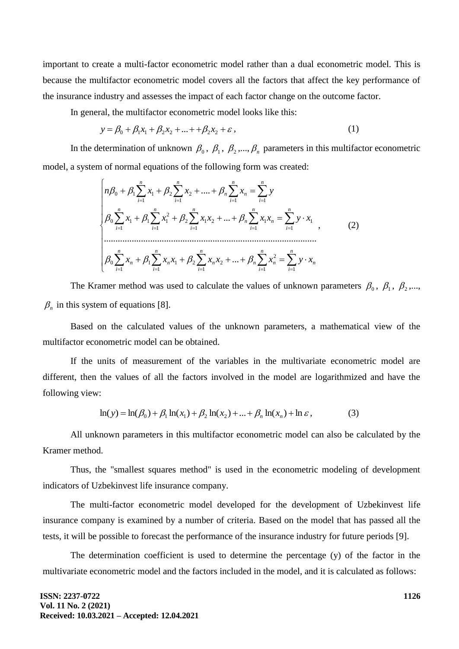important to create a multi-factor econometric model rather than a dual econometric model. This is because the multifactor econometric model covers all the factors that affect the key performance of the insurance industry and assesses the impact of each factor change on the outcome factor.

In general, the multifactor econometric model looks like this:

$$
y = \beta_0 + \beta_1 x_1 + \beta_2 x_2 + \dots + \beta_2 x_2 + \varepsilon, \tag{1}
$$

In the determination of unknown  $\beta_0$ ,  $\beta_1$ ,  $\beta_2$ ,...,  $\beta_n$  parameters in this multifactor econometric model, a system of normal equations of the following form was created:

$$
\begin{cases}\n n\beta_0 + \beta_1 \sum_{i=1}^n x_i + \beta_2 \sum_{i=1}^n x_i + \dots + \beta_n \sum_{i=1}^n x_i = \sum_{i=1}^n y \\
\beta_0 \sum_{i=1}^n x_i + \beta_1 \sum_{i=1}^n x_i^2 + \beta_2 \sum_{i=1}^n x_i x_i + \dots + \beta_n \sum_{i=1}^n x_i x_n = \sum_{i=1}^n y \cdot x_i \\
\dots \\
\beta_0 \sum_{i=1}^n x_n + \beta_1 \sum_{i=1}^n x_n x_i + \beta_2 \sum_{i=1}^n x_n x_i + \dots + \beta_n \sum_{i=1}^n x_i^2 = \sum_{i=1}^n y \cdot x_n\n \end{cases}
$$
\n(2)

The Kramer method was used to calculate the values of unknown parameters  $\beta_0$ ,  $\beta_1$ ,  $\beta_2$ ,...,  $\beta_n$  in this system of equations [8].

Based on the calculated values of the unknown parameters, a mathematical view of the multifactor econometric model can be obtained.

If the units of measurement of the variables in the multivariate econometric model are different, then the values of all the factors involved in the model are logarithmized and have the following view:

$$
\ln(y) = \ln(\beta_0) + \beta_1 \ln(x_1) + \beta_2 \ln(x_2) + ... + \beta_n \ln(x_n) + \ln \varepsilon,
$$
 (3)

All unknown parameters in this multifactor econometric model can also be calculated by the Kramer method.

Thus, the "smallest squares method" is used in the econometric modeling of development indicators of Uzbekinvest life insurance company.

The multi-factor econometric model developed for the development of Uzbekinvest life insurance company is examined by a number of criteria. Based on the model that has passed all the tests, it will be possible to forecast the performance of the insurance industry for future periods [9].

The determination coefficient is used to determine the percentage (y) of the factor in the multivariate econometric model and the factors included in the model, and it is calculated as follows: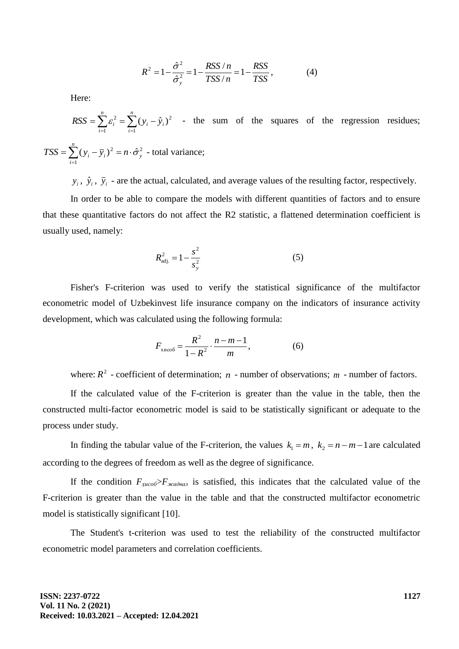$$
R^{2} = 1 - \frac{\hat{\sigma}^{2}}{\hat{\sigma}_{y}^{2}} = 1 - \frac{RSS/n}{TSS/n} = 1 - \frac{RSS}{TSS},
$$
(4)

Here:

$$
RSS = \sum_{i=1}^{n} \varepsilon_i^2 = \sum_{i=1}^{n} (y_i - \hat{y}_i)^2
$$
 - the sum of the squares of the regression residues;

$$
TSS = \sum_{i=1}^{n} (y_i - \overline{y}_i)^2 = n \cdot \hat{\sigma}_y^2
$$
 - total variance;

 $y_i$ ,  $\hat{y}_i$ ,  $\bar{y}_i$  - are the actual, calculated, and average values of the resulting factor, respectively.

In order to be able to compare the models with different quantities of factors and to ensure that these quantitative factors do not affect the R2 statistic, a flattened determination coefficient is usually used, namely:

$$
R_{\rm adj.}^2 = 1 - \frac{s^2}{s_y^2} \tag{5}
$$

Fisher's F-criterion was used to verify the statistical significance of the multifactor econometric model of Uzbekinvest life insurance company on the indicators of insurance activity development, which was calculated using the following formula:

$$
F_{\rm XHCOO} = \frac{R^2}{1 - R^2} \cdot \frac{n - m - 1}{m},
$$
 (6)

where:  $R^2$  - coefficient of determination;  $n$  - number of observations;  $m$  - number of factors.

If the calculated value of the F-criterion is greater than the value in the table, then the constructed multi-factor econometric model is said to be statistically significant or adequate to the process under study.

In finding the tabular value of the F-criterion, the values  $k_1 = m$ ,  $k_2 = n - m - 1$  are calculated according to the degrees of freedom as well as the degree of significance.

If the condition  $F_{\chi uco} \delta F_{\chi uco}$  is satisfied, this indicates that the calculated value of the F-criterion is greater than the value in the table and that the constructed multifactor econometric model is statistically significant [10].

The Student's t-criterion was used to test the reliability of the constructed multifactor econometric model parameters and correlation coefficients.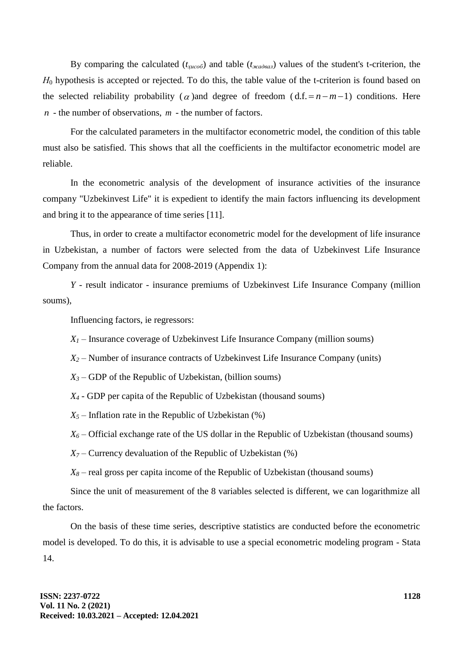By comparing the calculated (*tҳисоб*) and table (*tжадвал*) values of the student's t-criterion, the *H*<sub>0</sub> hypothesis is accepted or rejected. To do this, the table value of the t-criterion is found based on the selected reliability probability ( $\alpha$ ) and degree of freedom ( $d.f. = n - m - 1$ ) conditions. Here *n* - the number of observations, *m* - the number of factors.

For the calculated parameters in the multifactor econometric model, the condition of this table must also be satisfied. This shows that all the coefficients in the multifactor econometric model are reliable.

In the econometric analysis of the development of insurance activities of the insurance company "Uzbekinvest Life" it is expedient to identify the main factors influencing its development and bring it to the appearance of time series [11].

Thus, in order to create a multifactor econometric model for the development of life insurance in Uzbekistan, a number of factors were selected from the data of Uzbekinvest Life Insurance Company from the annual data for 2008-2019 (Appendix 1):

*Y* - result indicator - insurance premiums of Uzbekinvest Life Insurance Company (million soums),

Influencing factors, ie regressors:

 $X_I$  – Insurance coverage of Uzbekinvest Life Insurance Company (million soums)

*X<sup>2</sup>* – Number of insurance contracts of Uzbekinvest Life Insurance Company (units)

 $X_3$  – GDP of the Republic of Uzbekistan, (billion soums)

*X<sup>4</sup>* - GDP per capita of the Republic of Uzbekistan (thousand soums)

 $X_5$  – Inflation rate in the Republic of Uzbekistan (%)

 $X_6$  – Official exchange rate of the US dollar in the Republic of Uzbekistan (thousand soums)

 $X_7$  – Currency devaluation of the Republic of Uzbekistan (%)

 $X_8$  – real gross per capita income of the Republic of Uzbekistan (thousand soums)

Since the unit of measurement of the 8 variables selected is different, we can logarithmize all the factors.

On the basis of these time series, descriptive statistics are conducted before the econometric model is developed. To do this, it is advisable to use a special econometric modeling program - Stata 14.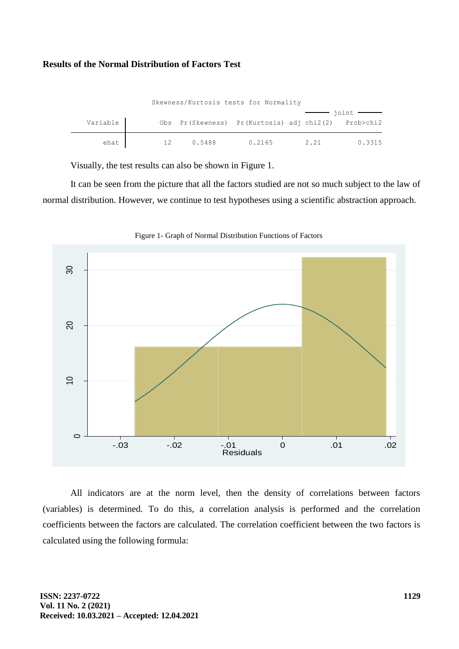#### **Results of the Normal Distribution of Factors Test**

| Skewness/Kurtosis tests for Normality |  |        |                                                     |      |                                                   |  |  |  |  |  |
|---------------------------------------|--|--------|-----------------------------------------------------|------|---------------------------------------------------|--|--|--|--|--|
|                                       |  |        |                                                     |      | $\frac{1}{\mathrm{point}}$ $\frac{1}{\mathrm{1}}$ |  |  |  |  |  |
| Variable                              |  |        | Obs Pr(Skewness) Pr(Kurtosis) adj chi2(2) Prob>chi2 |      |                                                   |  |  |  |  |  |
|                                       |  |        |                                                     |      |                                                   |  |  |  |  |  |
| ehat                                  |  | 0.5488 | 0.2165                                              | 2.21 | 0.3315                                            |  |  |  |  |  |

Visually, the test results can also be shown in Figure 1.

It can be seen from the picture that all the factors studied are not so much subject to the law of normal distribution. However, we continue to test hypotheses using a scientific abstraction approach.



Figure 1- Graph of Normal Distribution Functions of Factors

All indicators are at the norm level, then the density of correlations between factors (variables) is determined. To do this, a correlation analysis is performed and the correlation coefficients between the factors are calculated. The correlation coefficient between the two factors is calculated using the following formula: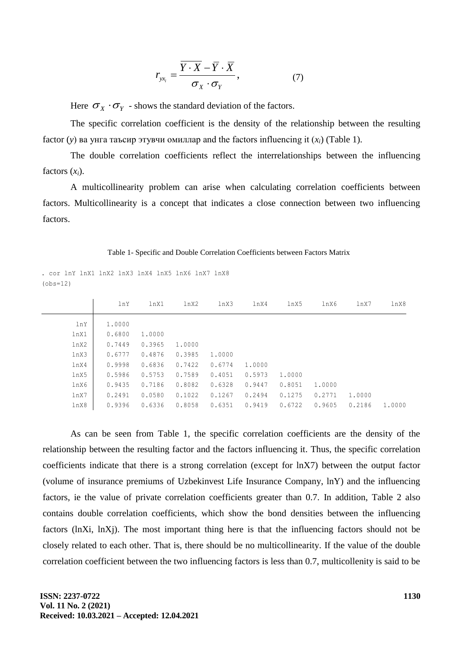$$
r_{yx_i} = \frac{\overline{Y \cdot X} - \overline{Y} \cdot \overline{X}}{\sigma_X \cdot \sigma_Y},
$$
 (7)

Here  $\sigma_X \cdot \sigma_Y$  - shows the standard deviation of the factors.

The specific correlation coefficient is the density of the relationship between the resulting factor (*y*) ва унга таъсир этувчи омиллар and the factors influencing it (*xi*) (Table 1).

The double correlation coefficients reflect the interrelationships between the influencing factors  $(x_i)$ .

A multicollinearity problem can arise when calculating correlation coefficients between factors. Multicollinearity is a concept that indicates a close connection between two influencing factors.

Table 1- Specific and Double Correlation Coefficients between Factors Matrix

|      | lnY    | lnX1   | lnX2   | lnX3   | lnX4   | lnX5   | lnX6   | lnX7   | lnX8   |
|------|--------|--------|--------|--------|--------|--------|--------|--------|--------|
| lnY  | 1,0000 |        |        |        |        |        |        |        |        |
| lnX1 | 0.6800 | 1,0000 |        |        |        |        |        |        |        |
| lnX2 | 0.7449 | 0.3965 | 1,0000 |        |        |        |        |        |        |
| lnX3 | 0.6777 | 0.4876 | 0.3985 | 1,0000 |        |        |        |        |        |
| lnX4 | 0.9998 | 0.6836 | 0.7422 | 0.6774 | 1,0000 |        |        |        |        |
| lnX5 | 0.5986 | 0.5753 | 0.7589 | 0.4051 | 0.5973 | 1,0000 |        |        |        |
| lnX6 | 0.9435 | 0.7186 | 0.8082 | 0.6328 | 0.9447 | 0.8051 | 1,0000 |        |        |
| lnX7 | 0.2491 | 0.0580 | 0.1022 | 0.1267 | 0.2494 | 0.1275 | 0.2771 | 1,0000 |        |
| lnX8 | 0.9396 | 0.6336 | 0.8058 | 0.6351 | 0.9419 | 0.6722 | 0.9605 | 0.2186 | 1,0000 |

 $(obs=12)$ . cor lnY lnX1 lnX2 lnX3 lnX4 lnX5 lnX6 lnX7 lnX8

As can be seen from Table 1, the specific correlation coefficients are the density of the relationship between the resulting factor and the factors influencing it. Thus, the specific correlation coefficients indicate that there is a strong correlation (except for lnX7) between the output factor (volume of insurance premiums of Uzbekinvest Life Insurance Company, lnY) and the influencing factors, ie the value of private correlation coefficients greater than 0.7. In addition, Table 2 also contains double correlation coefficients, which show the bond densities between the influencing factors (lnXi, lnXj). The most important thing here is that the influencing factors should not be closely related to each other. That is, there should be no multicollinearity. If the value of the double correlation coefficient between the two influencing factors is less than 0.7, multicollenity is said to be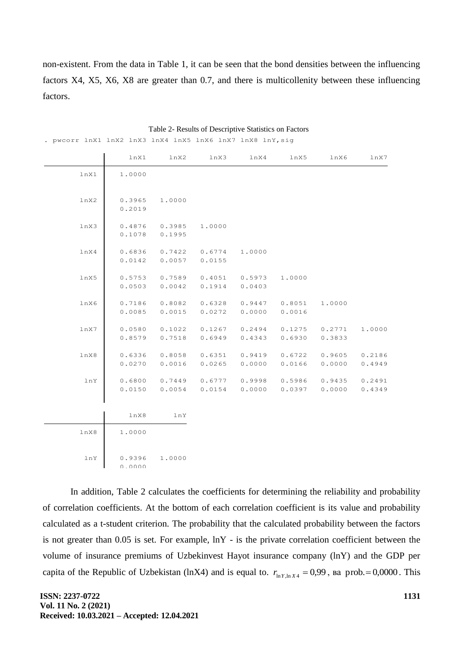non-existent. From the data in Table 1, it can be seen that the bond densities between the influencing factors X4, X5, X6, X8 are greater than 0.7, and there is multicollenity between these influencing factors.

|      | lnX1             | lnX2             | lnX3             | lnX4             | lnX5             | lnX6             | lnX7             |
|------|------------------|------------------|------------------|------------------|------------------|------------------|------------------|
| lnX1 | 1.0000           |                  |                  |                  |                  |                  |                  |
| lnX2 | 0.3965<br>0.2019 | 1.0000           |                  |                  |                  |                  |                  |
| lnX3 | 0.4876<br>0.1078 | 0.3985<br>0.1995 | 1,0000           |                  |                  |                  |                  |
| lnX4 | 0.6836<br>0.0142 | 0.7422<br>0.0057 | 0.6774<br>0.0155 | 1.0000           |                  |                  |                  |
| lnX5 | 0.5753<br>0.0503 | 0.7589<br>0.0042 | 0.4051<br>0.1914 | 0.5973<br>0.0403 | 1.0000           |                  |                  |
| lnX6 | 0.7186<br>0.0085 | 0.8082<br>0.0015 | 0.6328<br>0.0272 | 0.9447<br>0.0000 | 0.8051<br>0.0016 | 1.0000           |                  |
| lnX7 | 0.0580<br>0.8579 | 0.1022<br>0.7518 | 0.1267<br>0.6949 | 0.2494<br>0.4343 | 0.1275<br>0.6930 | 0.2771<br>0.3833 | 1,0000           |
| lnX8 | 0.6336<br>0.0270 | 0.8058<br>0.0016 | 0.6351<br>0.0265 | 0.9419<br>0.0000 | 0.6722<br>0.0166 | 0.9605<br>0.0000 | 0.2186<br>0.4949 |
| lnY  | 0.6800<br>0.0150 | 0.7449<br>0.0054 | 0.6777<br>0.0154 | 0.9998<br>0.0000 | 0.5986<br>0.0397 | 0.9435<br>0.0000 | 0.2491<br>0.4349 |
|      | lnX8             | lnY              |                  |                  |                  |                  |                  |
| lnx8 | 1.0000           |                  |                  |                  |                  |                  |                  |
| lnY  | 0.9396<br>0.0000 | 1.0000           |                  |                  |                  |                  |                  |

Table 2- Results of Descriptive Statistics on Factors

. pwcorr lnX1 lnX2 lnX3 lnX4 lnX5 lnX6 lnX7 lnX8 lnY,sig

In addition, Table 2 calculates the coefficients for determining the reliability and probability of correlation coefficients. At the bottom of each correlation coefficient is its value and probability calculated as a t-student criterion. The probability that the calculated probability between the factors is not greater than 0.05 is set. For example, lnY - is the private correlation coefficient between the volume of insurance premiums of Uzbekinvest Hayot insurance company (lnY) and the GDP per capita of the Republic of Uzbekistan (lnX4) and is equal to.  $r_{\ln Y, \ln X4} = 0.99$ , sa prob. = 0,0000. This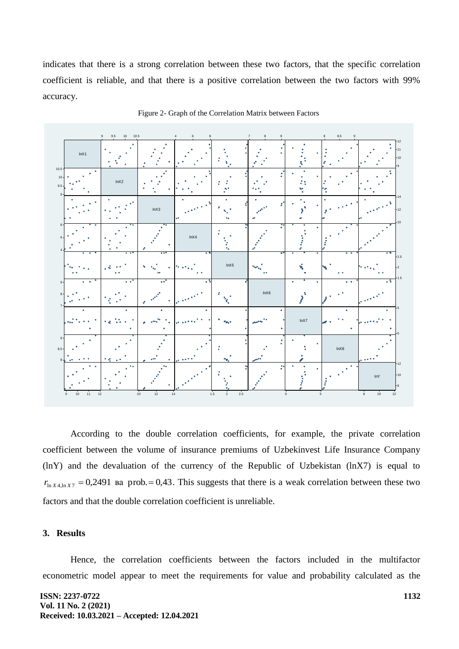indicates that there is a strong correlation between these two factors, that the specific correlation coefficient is reliable, and that there is a positive correlation between the two factors with 99% accuracy.



Figure 2- Graph of the Correlation Matrix between Factors

According to the double correlation coefficients, for example, the private correlation coefficient between the volume of insurance premiums of Uzbekinvest Life Insurance Company (lnY) and the devaluation of the currency of the Republic of Uzbekistan (lnX7) is equal to  $r_{\ln X4, \ln X7} = 0.2491$  Ba prob. = 0,43. This suggests that there is a weak correlation between these two factors and that the double correlation coefficient is unreliable.

### **3. Results**

Hence, the correlation coefficients between the factors included in the multifactor econometric model appear to meet the requirements for value and probability calculated as the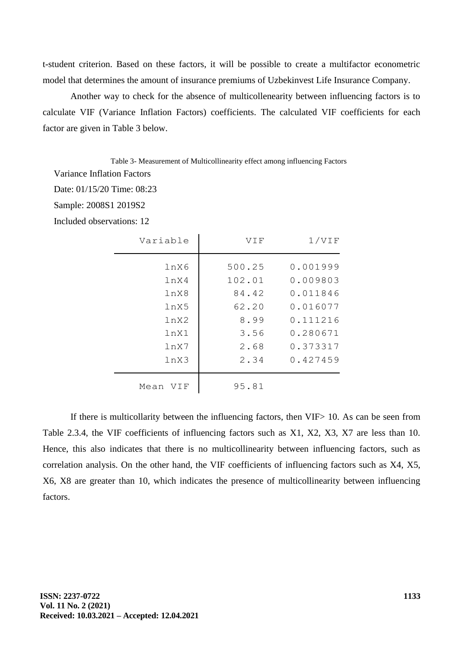t-student criterion. Based on these factors, it will be possible to create a multifactor econometric model that determines the amount of insurance premiums of Uzbekinvest Life Insurance Company.

Another way to check for the absence of multicollenearity between influencing factors is to calculate VIF (Variance Inflation Factors) coefficients. The calculated VIF coefficients for each factor are given in Table 3 below.

Table 3- Measurement of Multicollinearity effect among influencing Factors

Variance Inflation Factors

Date: 01/15/20 Time: 08:23

Sample: 2008S1 2019S2

Included observations: 12

| 1/VIF                                                                            | VIF                                                        | Variable                                             |
|----------------------------------------------------------------------------------|------------------------------------------------------------|------------------------------------------------------|
| 0.001999<br>0.009803<br>0.011846<br>0.016077<br>0.111216<br>0.280671<br>0.373317 | 500.25<br>102.01<br>84.42<br>62.20<br>8.99<br>3.56<br>2.68 | lnX6<br>lnX4<br>lnX8<br>lnX5<br>lnX2<br>lnX1<br>lnX7 |
| 0.427459                                                                         | 2.34                                                       | lnX3                                                 |
|                                                                                  | 95.81                                                      | Mean VIF                                             |

If there is multicollarity between the influencing factors, then VIF> 10. As can be seen from Table 2.3.4, the VIF coefficients of influencing factors such as X1, X2, X3, X7 are less than 10. Hence, this also indicates that there is no multicollinearity between influencing factors, such as correlation analysis. On the other hand, the VIF coefficients of influencing factors such as X4, X5, X6, X8 are greater than 10, which indicates the presence of multicollinearity between influencing factors.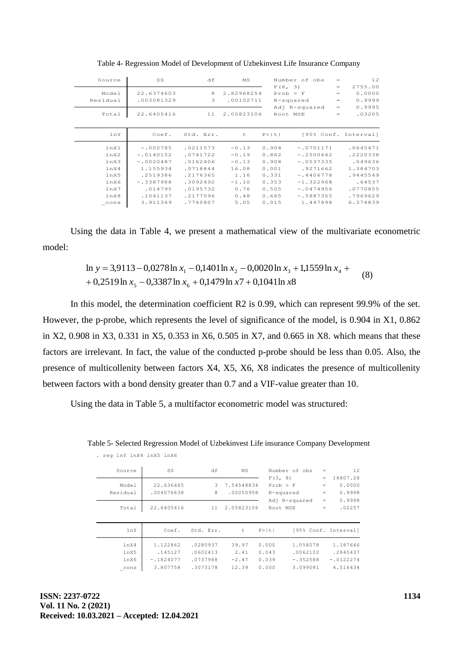| Source   | SS          | df        | MS         |         | Number of obs | $=$ | 12                   |
|----------|-------------|-----------|------------|---------|---------------|-----|----------------------|
|          |             |           |            | F(8, 3) |               | $=$ | 2755.00              |
| Model    | 22.6374603  | 8         | 2.82968254 |         | Prob > F      | $=$ | 0.0000               |
| Residual | .003081329  | 3         | .00102711  |         | R-squared     | $=$ | 0.9999               |
|          |             |           |            |         | Adj R-squared | $=$ | 0.9995               |
| Total    | 22.6405416  | 11        | 2.05823106 |         | Root MSE      | $=$ | .03205               |
|          |             |           |            |         |               |     |                      |
| lnY      | Coef.       | Std. Err. | t          | P >  t  |               |     | [95% Conf. Interval] |
|          |             |           |            |         |               |     |                      |
| lnX1     | $-.002785$  | .0211573  | $-0.13$    | 0.904   | $-.0701171$   |     | .0645471             |
| lnx2     | $-.0140152$ | .0741722  | $-0.19$    | 0.862   | $-.2500642$   |     | .2220338             |
| lnX3     | $-.0020487$ | .0162406  | $-0.13$    | 0.908   | $-.0537335$   |     | .049636              |
| lnX4     | 1.155934    | .0718844  | 16.08      | 0.001   | .9271662      |     | 1.384703             |
| lnX5     | .2519386    | .2176365  | 1.16       | 0.331   | $-.4406778$   |     | .9445549             |
| lnX6     | $-.3387988$ | .3092492  | $-1.10$    | 0.353   | $-1.322968$   |     | .64537               |
| lnx7     | .014795     | .0195732  | 0.76       | 0.505   | $-.0474956$   |     | .0770855             |
| lnX8     | .1041137    | .2177096  | 0.48       | 0.665   | $-.5887355$   |     | .7969629             |

Table 4- Regression Model of Development of Uzbekinvest Life Insurance Company

Using the data in Table 4, we present a mathematical view of the multivariate econometric model:

> $x_5 - 0.3387 \ln x_6 + 0.1479 \ln x_7 + 0.1041 \ln x_8$  $\ln y = 3.9113 - 0.0278 \ln x_1 - 0.1401 \ln x_2 - 0.0020 \ln x_3 + 1.1559 \ln x_4 +$ (8)

In this model, the determination coefficient R2 is 0.99, which can represent 99.9% of the set. However, the p-probe, which represents the level of significance of the model, is 0.904 in X1, 0.862 in X2, 0.908 in X3, 0.331 in X5, 0.353 in X6, 0.505 in X7, and 0.665 in X8. which means that these factors are irrelevant. In fact, the value of the conducted p-probe should be less than 0.05. Also, the presence of multicollenity between factors X4, X5, X6, X8 indicates the presence of multicollenity between factors with a bond density greater than 0.7 and a VIF-value greater than 10.

Using the data in Table 5, a multifactor econometric model was structured:

Table 5- Selected Regression Model of Uzbekinvest Life insurance Company Development

| Source            | SS                      | df                   | MS                      | F(3, 8)        | Number of obs              | $=$<br>$=$        | 12<br>14807.28             |
|-------------------|-------------------------|----------------------|-------------------------|----------------|----------------------------|-------------------|----------------------------|
| Model<br>Residual | 22.636465<br>.004076638 | 3<br>8               | 7.54548834<br>.00050958 | Prob > F       | R-squared<br>Adj R-squared | $=$<br>$=$<br>$=$ | 0.0000<br>0.9998<br>0.9998 |
| Total             | 22.6405416              | 11                   | 2.05823106              | Root MSE       |                            | $=$               | .02257                     |
| lnY               | Coef.                   | Std. Err.            | t                       | P >  t         |                            |                   | [95% Conf. Interval]       |
| lnX4<br>lnX5      | 1.122862<br>.145127     | .0280937<br>.0602413 | 39.97<br>2.41           | 0.000<br>0.043 | 1.058078<br>.0062102       |                   | 1.187646<br>.2840437       |
| lnX6<br>cons      | $-.1824077$<br>3.807758 | .0737988<br>.3073178 | $-2.47$<br>12.39        | 0.039<br>0.000 | $-.352588$<br>3.099081     |                   | $-.0122274$<br>4.516434    |

. reg lnY lnX4 lnX5 lnX6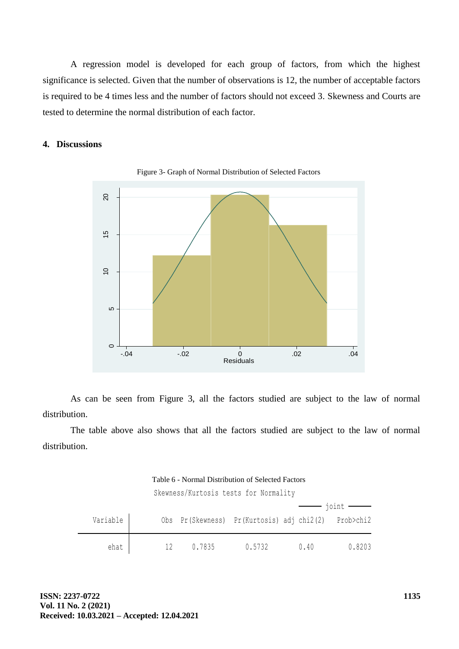A regression model is developed for each group of factors, from which the highest significance is selected. Given that the number of observations is 12, the number of acceptable factors is required to be 4 times less and the number of factors should not exceed 3. Skewness and Courts are tested to determine the normal distribution of each factor.

## **4. Discussions**



Figure 3- Graph of Normal Distribution of Selected Factors

As can be seen from Figure 3, all the factors studied are subject to the law of normal distribution.

The table above also shows that all the factors studied are subject to the law of normal distribution.

Table 6 - Normal Distribution of Selected Factors

Skewness/Kurtosis tests for Normality

| Variable |    |        | Obs Pr(Skewness) Pr(Kurtosis) adj chi2(2) Prob>chi2 |      |        |
|----------|----|--------|-----------------------------------------------------|------|--------|
| ehat     | 12 | 0.7835 | 0.5732                                              | 0.40 | 0.8203 |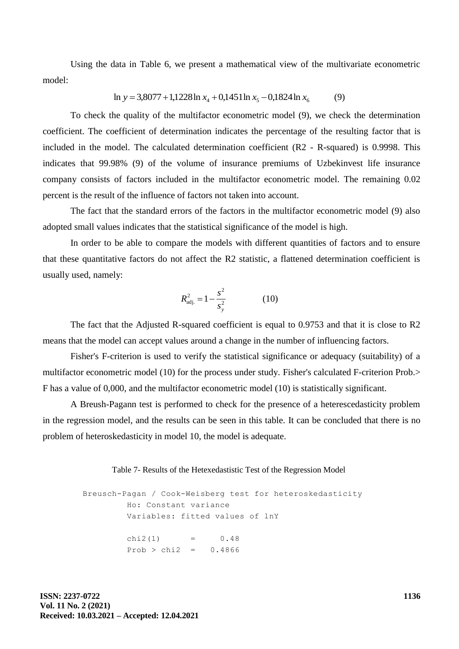Using the data in Table 6, we present a mathematical view of the multivariate econometric model:

$$
\ln y = 3,8077 + 1,1228 \ln x_4 + 0,1451 \ln x_5 - 0,1824 \ln x_6 \tag{9}
$$

To check the quality of the multifactor econometric model (9), we check the determination coefficient. The coefficient of determination indicates the percentage of the resulting factor that is included in the model. The calculated determination coefficient (R2 - R-squared) is 0.9998. This indicates that 99.98% (9) of the volume of insurance premiums of Uzbekinvest life insurance company consists of factors included in the multifactor econometric model. The remaining 0.02 percent is the result of the influence of factors not taken into account.

The fact that the standard errors of the factors in the multifactor econometric model (9) also adopted small values indicates that the statistical significance of the model is high.

In order to be able to compare the models with different quantities of factors and to ensure that these quantitative factors do not affect the R2 statistic, a flattened determination coefficient is usually used, namely:

$$
R_{\rm adj.}^2 = 1 - \frac{s^2}{s_y^2} \tag{10}
$$

The fact that the Adjusted R-squared coefficient is equal to 0.9753 and that it is close to R2 means that the model can accept values around a change in the number of influencing factors.

Fisher's F-criterion is used to verify the statistical significance or adequacy (suitability) of a multifactor econometric model (10) for the process under study. Fisher's calculated F-criterion Prob.> F has a value of 0,000, and the multifactor econometric model (10) is statistically significant.

A Breush-Pagann test is performed to check for the presence of a heterescedasticity problem in the regression model, and the results can be seen in this table. It can be concluded that there is no problem of heteroskedasticity in model 10, the model is adequate.

Table 7- Results of the Hetexedastistic Test of the Regression Model

 $Prob > chi2 = 0.4866$  $chi2(1) = 0.48$ Variables: fitted values of lnY Ho: Constant variance Breusch-Pagan / Cook-Weisberg test for heteroskedasticity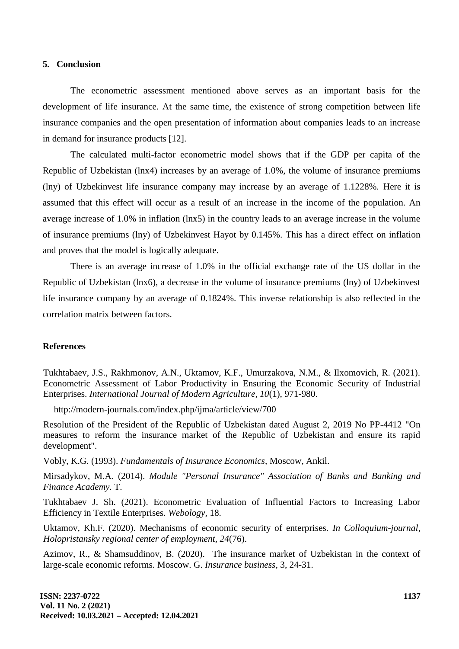#### **5. Conclusion**

The econometric assessment mentioned above serves as an important basis for the development of life insurance. At the same time, the existence of strong competition between life insurance companies and the open presentation of information about companies leads to an increase in demand for insurance products [12].

The calculated multi-factor econometric model shows that if the GDP per capita of the Republic of Uzbekistan (lnx4) increases by an average of 1.0%, the volume of insurance premiums (lny) of Uzbekinvest life insurance company may increase by an average of 1.1228%. Here it is assumed that this effect will occur as a result of an increase in the income of the population. An average increase of 1.0% in inflation (lnx5) in the country leads to an average increase in the volume of insurance premiums (lny) of Uzbekinvest Hayot by 0.145%. This has a direct effect on inflation and proves that the model is logically adequate.

There is an average increase of 1.0% in the official exchange rate of the US dollar in the Republic of Uzbekistan (lnx6), a decrease in the volume of insurance premiums (lny) of Uzbekinvest life insurance company by an average of 0.1824%. This inverse relationship is also reflected in the correlation matrix between factors.

#### **References**

Tukhtabaev, J.S., Rakhmonov, A.N., Uktamov, K.F., Umurzakova, N.M., & Ilxomovich, R. (2021). Econometric Assessment of Labor Productivity in Ensuring the Economic Security of Industrial Enterprises. *International Journal of Modern Agriculture, 10*(1), 971-980.

http://modern-journals.com/index.php/ijma/article/view/700

Resolution of the President of the Republic of Uzbekistan dated August 2, 2019 No PP-4412 "On measures to reform the insurance market of the Republic of Uzbekistan and ensure its rapid development".

Vobly, K.G. (1993). *Fundamentals of Insurance Economics,* Moscow, Ankil.

Mirsadykov, M.A. (2014). *Module "Personal Insurance" Association of Banks and Banking and Finance Academy.* T.

Tukhtabaev J. Sh. (2021). Econometric Evaluation of Influential Factors to Increasing Labor Efficiency in Textile Enterprises. *Webology,* 18.

Uktamov, Kh.F. (2020). Mechanisms of economic security of enterprises. *In Colloquium-journal, Holopristansky regional center of employment, 24*(76).

Azimov, R., & Shamsuddinov, B. (2020). The insurance market of Uzbekistan in the context of large-scale economic reforms. Moscow. G. *Insurance business,* 3, 24-31.